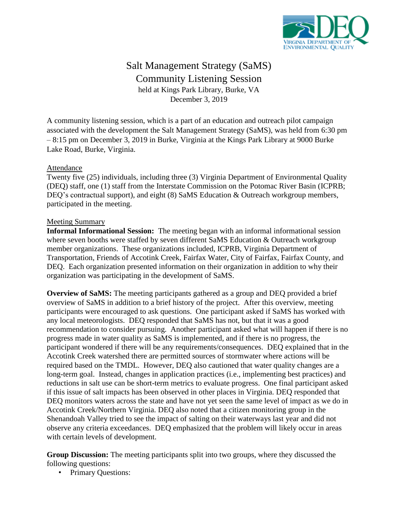

## Salt Management Strategy (SaMS) Community Listening Session held at Kings Park Library, Burke, VA December 3, 2019

A community listening session, which is a part of an education and outreach pilot campaign associated with the development the Salt Management Strategy (SaMS), was held from 6:30 pm – 8:15 pm on December 3, 2019 in Burke, Virginia at the Kings Park Library at 9000 Burke Lake Road, Burke, Virginia.

## Attendance

Twenty five (25) individuals, including three (3) Virginia Department of Environmental Quality (DEQ) staff, one (1) staff from the Interstate Commission on the Potomac River Basin (ICPRB; DEQ's contractual support), and eight (8) SaMS Education & Outreach workgroup members, participated in the meeting.

## Meeting Summary

**Informal Informational Session:** The meeting began with an informal informational session where seven booths were staffed by seven different SaMS Education & Outreach workgroup member organizations. These organizations included, ICPRB, Virginia Department of Transportation, Friends of Accotink Creek, Fairfax Water, City of Fairfax, Fairfax County, and DEQ. Each organization presented information on their organization in addition to why their organization was participating in the development of SaMS.

**Overview of SaMS:** The meeting participants gathered as a group and DEQ provided a brief overview of SaMS in addition to a brief history of the project. After this overview, meeting participants were encouraged to ask questions. One participant asked if SaMS has worked with any local meteorologists. DEQ responded that SaMS has not, but that it was a good recommendation to consider pursuing. Another participant asked what will happen if there is no progress made in water quality as SaMS is implemented, and if there is no progress, the participant wondered if there will be any requirements/consequences. DEQ explained that in the Accotink Creek watershed there are permitted sources of stormwater where actions will be required based on the TMDL. However, DEQ also cautioned that water quality changes are a long-term goal. Instead, changes in application practices (i.e., implementing best practices) and reductions in salt use can be short-term metrics to evaluate progress. One final participant asked if this issue of salt impacts has been observed in other places in Virginia. DEQ responded that DEQ monitors waters across the state and have not yet seen the same level of impact as we do in Accotink Creek/Northern Virginia. DEQ also noted that a citizen monitoring group in the Shenandoah Valley tried to see the impact of salting on their waterways last year and did not observe any criteria exceedances. DEQ emphasized that the problem will likely occur in areas with certain levels of development.

**Group Discussion:** The meeting participants split into two groups, where they discussed the following questions:

• Primary Questions: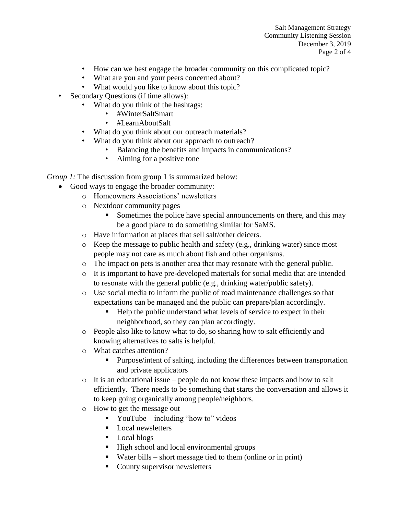- How can we best engage the broader community on this complicated topic?
- What are you and your peers concerned about?
- What would you like to know about this topic?
- Secondary Questions (if time allows):
	- What do you think of the hashtags:
		- #WinterSaltSmart
		- #LearnAboutSalt
		- What do you think about our outreach materials?
		- What do you think about our approach to outreach?
			- Balancing the benefits and impacts in communications?
			- Aiming for a positive tone

*Group 1:* The discussion from group 1 is summarized below:

- Good ways to engage the broader community:
	- o Homeowners Associations' newsletters
	- o Nextdoor community pages
		- Sometimes the police have special announcements on there, and this may be a good place to do something similar for SaMS.
	- o Have information at places that sell salt/other deicers.
	- $\circ$  Keep the message to public health and safety (e.g., drinking water) since most people may not care as much about fish and other organisms.
	- o The impact on pets is another area that may resonate with the general public.
	- $\circ$  It is important to have pre-developed materials for social media that are intended to resonate with the general public (e.g., drinking water/public safety).
	- o Use social media to inform the public of road maintenance challenges so that expectations can be managed and the public can prepare/plan accordingly.
		- Help the public understand what levels of service to expect in their neighborhood, so they can plan accordingly.
	- o People also like to know what to do, so sharing how to salt efficiently and knowing alternatives to salts is helpful.
	- o What catches attention?
		- **Purpose/intent of salting, including the differences between transportation** and private applicators
	- o It is an educational issue people do not know these impacts and how to salt efficiently. There needs to be something that starts the conversation and allows it to keep going organically among people/neighbors.
	- o How to get the message out
		- YouTube including "how to" videos
		- **Local newsletters**
		- **Local blogs**
		- $\blacksquare$  High school and local environmental groups
		- Water bills short message tied to them (online or in print)
		- County supervisor newsletters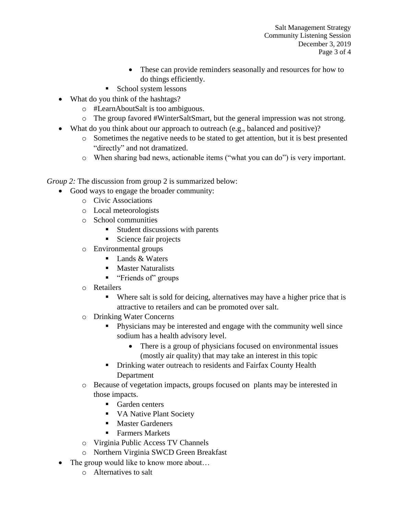Salt Management Strategy Community Listening Session December 3, 2019 Page 3 of 4

- These can provide reminders seasonally and resources for how to do things efficiently.
- **School system lessons**
- What do you think of the hashtags?
	- o #LearnAboutSalt is too ambiguous.
	- o The group favored #WinterSaltSmart, but the general impression was not strong.
- What do you think about our approach to outreach (e.g., balanced and positive)?
	- o Sometimes the negative needs to be stated to get attention, but it is best presented "directly" and not dramatized.
	- o When sharing bad news, actionable items ("what you can do") is very important.

*Group 2:* The discussion from group 2 is summarized below:

- Good ways to engage the broader community:
	- o Civic Associations
	- o Local meteorologists
	- o School communities
		- Student discussions with parents
		- Science fair projects
	- o Environmental groups
		- Lands & Waters
		- **Master Naturalists**
		- **"** "Friends of" groups
	- o Retailers
		- Where salt is sold for deicing, alternatives may have a higher price that is attractive to retailers and can be promoted over salt.
	- o Drinking Water Concerns
		- Physicians may be interested and engage with the community well since sodium has a health advisory level.
			- There is a group of physicians focused on environmental issues (mostly air quality) that may take an interest in this topic
		- Drinking water outreach to residents and Fairfax County Health Department
	- o Because of vegetation impacts, groups focused on plants may be interested in those impacts.
		- **Garden centers**
		- VA Native Plant Society
		- **Master Gardeners**
		- Farmers Markets
	- o Virginia Public Access TV Channels
	- o Northern Virginia SWCD Green Breakfast
- The group would like to know more about...
	- o Alternatives to salt